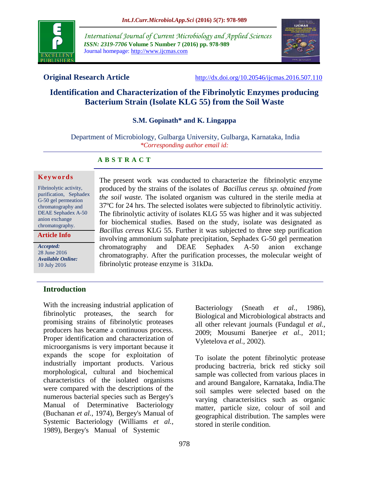

*International Journal of Current Microbiology and Applied Sciences ISSN: 2319-7706* **Volume 5 Number 7 (2016) pp. 978-989** Journal homepage: http://www.ijcmas.com



**Original Research Article** <http://dx.doi.org/10.20546/ijcmas.2016.507.110>

# **Identification and Characterization of the Fibrinolytic Enzymes producing Bacterium Strain (Isolate KLG 55) from the Soil Waste**

## **S.M. Gopinath\* and K. Lingappa**

Department of Microbiology, Gulbarga University, Gulbarga, Karnataka, India *\*Corresponding author email id:* 

#### **A B S T R A C T**

#### **K e y w o r d s**

Fibrinolytic activity, purification, Sephadex G-50 gel permeation chromatography and DEAE Sephadex A-50 anion exchange chromatography.

**Article Info**

*Accepted:*  28 June 2016 *Available Online:* 10 July 2016

The present work was conducted to characterize the fibrinolytic enzyme produced by the strains of the isolates of *Bacillus cereus sp. obtained from the soil waste.* The isolated organism was cultured in the sterile media at 37ºC for 24 hrs. The selected isolates were subjected to fibrinolytic activitiy. The fibrinolytic activity of isolates KLG 55 was higher and it was subjected for biochemical studies. Based on the study, isolate was designated as *Bacillus cereus* KLG 55. Further it was subjected to three step purification involving ammonium sulphate precipitation, Sephadex G-50 gel permeation chromatography and DEAE Sephadex A-50 anion exchange chromatography. After the purification processes, the molecular weight of fibrinolytic protease enzyme is 31kDa.

#### **Introduction**

With the increasing industrial application of fibrinolytic proteases, the search for promising strains of fibrinolytic proteases producers has became a continuous process. Proper identification and characterization of microorganisms is very important because it expands the scope for exploitation of industrially important products. Various morphological, cultural and biochemical characteristics of the isolated organisms were compared with the descriptions of the numerous bacterial species such as Bergey's Manual of Determinative Bacteriology (Buchanan *et al.*, 1974), Bergey's Manual of Systemic Bacteriology (Williams *et al.,* 1989), Bergey's Manual of Systemic

Biological and Microbiological abstracts and all other relevant journals (Fundagul *et al.,* 2009; Mousumi Banerjee *et al.,* 2011; Vyletelova *et al.,* 2002). To isolate the potent fibrinolytic protease

Bacteriology (Sneath *et al.,* 1986),

producing bactreria, brick red sticky soil sample was collected from various places in and around Bangalore, Karnataka, India.The soil samples were selected based on the varying characterisitics such as organic matter, particle size, colour of soil and geographical distribution. The samples were stored in sterile condition.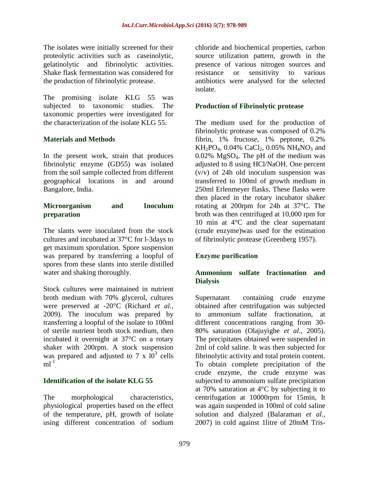The isolates were initially screened for their proteolytic activities such as caseinolytic, gelatinolytic and fibrinolytic activities. Shake flask fermentation was considered for the production of fibrinolytic protease.

The promising isolate KLG 55 was subjected to taxonomic studies. The taxonomic properties were investigated for the characterization of the isolate KLG 55.

## **Materials and Methods**

In the present work, strain that produces fibrinolytic enzyme (GD55) was isolated from the soil sample collected from different geographical locations in and around Bangalore, India.

#### **Microorganism and Inoculum preparation**

The slants were inoculated from the stock cultures and incubated at 37°C for l-3days to get maximum sporulation. Spore suspension was prepared by transferring a loopful of spores from these slants into sterile distilled water and shaking thoroughly.

Stock cultures were maintained in nutrient broth medium with 70% glycerol, cultures were preserved at -20°C (Richard *et al.,* 2009). The inoculum was prepared by transferring a loopful of the isolate to 100ml of sterile nutrient broth stock medium, then incubated it overnight at 37°C on a rotary shaker with 200rpm. A stock suspension was prepared and adjusted to  $7 \times 10^3$  cells  $ml^{-1}$ 

#### **Identification of the isolate KLG 55**

The morphological characteristics, physiological properties based on the effect of the temperature, pH, growth of isolate using different concentration of sodium

chloride and biochemical properties, carbon source utilization pattern, growth in the presence of various nitrogen sources and resistance or sensitivity to various antibiotics were analysed for the selected isolate.

#### **Production of Fibrinolytic protease**

The medium used for the production of fibrinolytic protease was composed of 0.2% fibrin, 1% fructose, 1% peptone, 0.2%  $KH_2PO_4$ , 0.04% CaCl<sub>2</sub>, 0.05% NH<sub>4</sub>NO<sub>3</sub> and 0.02% MgSO4. The pH of the medium was adjusted to 8 using HCl/NaOH. One percent (v/v) of 24h old inoculum suspension was transferred to 100ml of growth medium in 250ml Erlenmeyer flasks. These flasks were then placed in the rotary incubator shaker rotating at 200rpm for 24h at 37°C. The broth was then centrifuged at 10,000 rpm for 10 min at 4°C and the clear supernatant (crude enzyme)was used for the estimation of fibrinolytic protease (Greenberg 1957).

#### **Enzyme purification**

#### **Ammonium sulfate fractionation and Dialysis**

Supernatant containing crude enzyme obtained after centrifugation was subjected to ammonium sulfate fractionation, at different concentrations ranging from 30- 80% saturation (Olajuyigbe *et al*., 2005). The precipitates obtained were suspended in 2ml of cold saline. It was then subjected for fibrinolytic activity and total protein content. To obtain complete precipitation of the crude enzyme, the crude enzyme was subjected to ammonium sulfate precipitation at 70% saturation at 4°C by subjecting it to centrifugation at 10000rpm for 15min, It was again suspended in 100ml of cold saline solution and dialyzed (Balaraman *et al.,* 2007) in cold against 1litre of 20mM Tris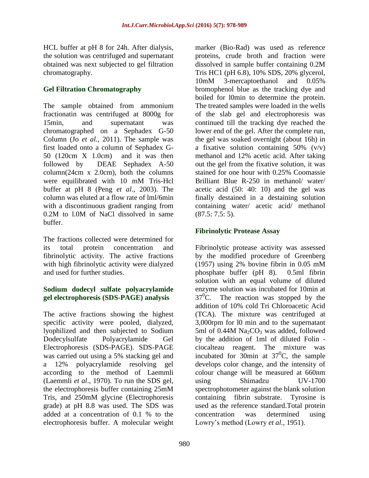HCL buffer at pH 8 for 24h. After dialysis, the solution was centrifuged and supernatant obtained was next subjected to gel filtration chromatography.

## **Gel Filtration Chromatography**

The sample obtained from ammonium fractionatin was centrifuged at 8000g for 15min, and supernatant was chromatographed on a Sephadex G-50 Column (Jo *et al.,* 2011). The sample was first loaded onto a column of Sephadex G-50 (120cm X 1.0cm) and it was then followed by DEAE Sephadex A-50 column(24cm x 2.0cm), both the columns were equilibrated with 10 mM Tris-Hcl buffer at pH 8 (Peng *et al*., 2003). The column was eluted at a flow rate of lml/6min with a discontinuous gradient ranging from 0.2M to l.0M of NaCl dissolved in same buffer.

The fractions collected were determined for its total protein concentration and fibrinolytic activity. The active fractions with high fibrinolytic activity were dialyzed and used for further studies.

# **Sodium dodecyl sulfate polyacrylamide gel electrophoresis (SDS-PAGE) analysis**

The active fractions showing the highest specific activity were pooled, dialyzed, lyophilized and then subjected to Sodium Dodecylsulfate Polyacrylamide Gel Electrophoresis (SDS-PAGE). SDS-PAGE was carried out using a 5% stacking gel and a 12% polyacrylamide resolving gel according to the method of Laemmli (Laemmli *et al*., 1970). To run the SDS gel, the electrophoresis buffer containing 25mM Tris, and 250mM glycine (Electrophoresis grade) at pH 8.8 was used. The SDS was added at a concentration of 0.1 % to the electrophoresis buffer. A molecular weight

marker (Bio-Rad) was used as reference proteins, crude broth and fraction were dissolved in sample buffer containing 0.2M Tris HC1 (pH 6.8), 10% SDS, 20% glycerol, 10mM 3-mercaptoethanol and 0.05% bromophenol blue as the tracking dye and boiled for l0min to determine the protein. The treated samples were loaded in the wells of the slab gel and electrophoresis was continued till the tracking dye reached the lower end of the gel. After the complete run, the gel was soaked overnight (about 16h) in a fixative solution containing  $50\%$  (v/v) methanol and 12% acetic acid. After taking out the gel from the fixative solution, it was stained for one hour with 0.25% Coomassie Brilliant Blue R-250 in methanol/ water/ acetic acid (50: 40: 10) and the gel was finally destained in a destaining solution containing water/ acetic acid/ methanol (87.5: 7.5: 5).

# **Fibrinolytic Protease Assay**

Fibrinolytic protease activity was assessed by the modified procedure of Greenberg (1957) using 2% bovine fibrin in 0.05 mM phosphate buffer (pH 8). 0.5ml fibrin solution with an equal volume of diluted enzyme solution was incubated for 10min at  $37^{\circ}$ C. The reaction was stopped by the addition of 10% cold Tri Chloroacetic Acid (TCA). The mixture was centrifuged at 3,000rpm for l0 min and to the supernatant 5ml of 0.44M  $Na<sub>2</sub>CO<sub>3</sub>$  was added, followed by the addition of 1ml of diluted Folin ciocalteau reagent. The mixture was incubated for 30min at  $37^{\circ}$ C, the sample develops color change, and the intensity of colour change will be measured at 660nm using Shimadzu UV-1700 spectrophotometer against the blank solution containing fibrin substrate. Tyrosine is used as the reference standard.Total protein concentration was determined using Lowry's method (Lowry *et al.,* 1951).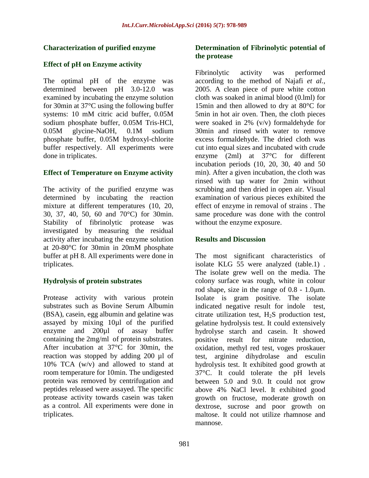## **Characterization of purified enzyme**

## **Effect of pH on Enzyme activity**

The optimal pH of the enzyme was determined between pH 3.0-12.0 was examined by incubating the enzyme solution for 30min at 37°C using the following buffer systems: 10 mM citric acid buffer, 0.05M sodium phosphate buffer, 0.05M Tris-HCl, 0.05M glycine-NaOH, 0.1M sodium phosphate buffer, 0.05M hydroxyl-chlorite buffer respectively. All experiments were done in triplicates.

#### **Effect of Temperature on Enzyme activity**

The activity of the purified enzyme was determined by incubating the reaction mixture at different temperatures (10, 20, 30, 37, 40, 50, 60 and 70°C) for 30min. Stability of fibrinolytic protease was investigated by measuring the residual activity after incubating the enzyme solution at 20-80°C for 30min in 20mM phosphate buffer at pH 8. All experiments were done in triplicates.

## **Hydrolysis of protein substrates**

Protease activity with various protein substrates such as Bovine Serum Albumin (BSA), casein, egg albumin and gelatine was assayed by mixing 10µl of the purified enzyme and 200µl of assay buffer containing the 2mg/ml of protein substrates. After incubation at 37°C for 30min, the reaction was stopped by adding 200 µl of 10% TCA (w/v) and allowed to stand at room temperature for 10min. The undigested protein was removed by centrifugation and peptides released were assayed. The specific protease activity towards casein was taken as a control. All experiments were done in triplicates.

#### **Determination of Fibrinolytic potential of the protease**

Fibrinolytic activity was performed according to the method of Najafi *et al.,* 2005. A clean piece of pure white cotton cloth was soaked in animal blood (0.lml) for 15min and then allowed to dry at 80°C for 5min in hot air oven. Then, the cloth pieces were soaked in 2% (v/v) formaldehyde for 30min and rinsed with water to remove excess formaldehyde. The dried cloth was cut into equal sizes and incubated with crude enzyme (2ml) at 37°C for different incubation periods (10, 20, 30, 40 and 50 min). After a given incubation, the cloth was rinsed with tap water for 2min without scrubbing and then dried in open air. Visual examination of various pieces exhibited the effect of enzyme in removal of strains . The same procedure was done with the control without the enzyme exposure.

## **Results and Discussion**

The most significant characteristics of isolate KLG 55 were analyzed (table.1) . The isolate grew well on the media. The colony surface was rough, white in colour rod shape, size in the range of  $0.8 - 1.0 \mu m$ . Isolate is gram positive. The isolate indicated negative result for indole test, citrate utilization test,  $H_2S$  production test, gelatine hydrolysis test. It could extensively hydrolyse starch and casein. It showed positive result for nitrate reduction, oxidation, methyl red test, voges proskauer test, arginine dihydrolase and esculin hydrolysis test. It exhibited good growth at 37°C. It could tolerate the pH levels between 5.0 and 9.0. It could not grow above 4% NaCl level. It exhibited good growth on fructose, moderate growth on dextrose, sucrose and poor growth on maltose. It could not utilize rhamnose and mannose.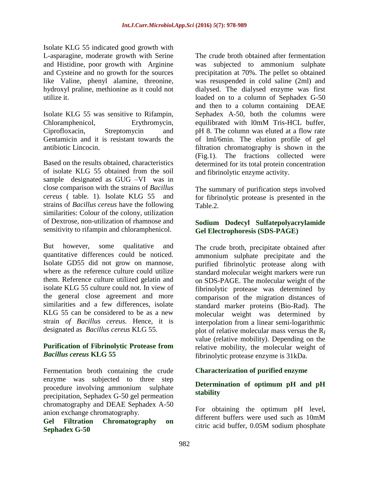Isolate KLG 55 indicated good growth with L-asparagine, moderate growth with Serine and Histidine, poor growth with Arginine and Cysteine and no growth for the sources like Valine, phenyl alamine, threonine, hydroxyl praline, methionine as it could not utilize it.

Isolate KLG 55 was sensitive to Rifampin, Chloramphenicol, Erythromycin, Ciprofloxacin, Streptomycin and Gentamicin and it is resistant towards the antibiotic Lincocin.

Based on the results obtained, characteristics of isolate KLG 55 obtained from the soil sample designated as GUG –VI was in close comparison with the strains of *Bacillus cereus* ( table. 1). Isolate KLG 55 and strains of *Bacillus cereus* have the following similarities: Colour of the colony, utilization of Dextrose, non-utilization of rhamnose and sensitivity to rifampin and chloramphenicol.

But however, some qualitative and quantitative differences could be noticed. Isolate GD55 did not grow on mannose, where as the reference culture could utilize them. Reference culture utilized gelatin and isolate KLG 55 culture could not. In view of the general close agreement and more similarities and a few differences, isolate KLG 55 can be considered to be as a new strain *of Bacillus cereus.* Hence, it is designated as *Bacillus cereus* KLG 55.

#### **Purification of Fibrinolytic Protease from**  *Bacillus cereus* **KLG 55**

Fermentation broth containing the crude enzyme was subjected to three step procedure involving ammonium sulphate precipitation, Sephadex G-50 gel permeation chromatography and DEAE Sephadex A-50 anion exchange chromatography.

**Gel Filtration Chromatography on Sephadex G-50**

The crude broth obtained after fermentation was subjected to ammonium sulphate precipitation at 70%. The pellet so obtained was resuspended in cold saline (2ml) and dialysed. The dialysed enzyme was first loaded on to a column of Sephadex G-50 and then to a column containing DEAE Sephadex A-50, both the columns were equilibrated with l0mM Tris-HCL buffer, pH 8. The column was eluted at a flow rate of lml/6min. The elution profile of gel filtration chromatography is shown in the (Fig.1). The fractions collected were determined for its total protein concentration and fibrinolytic enzyme activity.

The summary of purification steps involved for fibrinolytic protease is presented in the Table.2.

#### **Sodium Dodecyl Sulfatepolyacrylamide Gel Electrophoresis (SDS-PAGE)**

The crude broth, precipitate obtained after ammonium sulphate precipitate and the purified fibrinolytic protease along with standard molecular weight markers were run on SDS-PAGE. The molecular weight of the fibrinolytic protease was determined by comparison of the migration distances of standard marker proteins (Bio-Rad). The molecular weight was determined by interpolation from a linear semi-logarithmic plot of relative molecular mass versus the  $R_f$ value (relative mobility). Depending on the relative mobility, the molecular weight of fibrinolytic protease enzyme is 31kDa.

#### **Characterization of purified enzyme**

## **Determination of optimum pH and pH stability**

For obtaining the optimum pH level, different buffers were used such as 10mM citric acid buffer, 0.05M sodium phosphate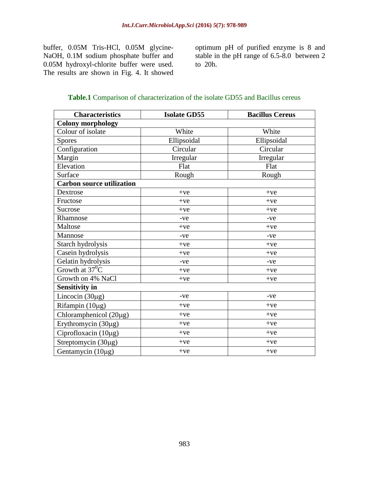buffer, 0.05M Tris-HCl, 0.05M glycine-NaOH, 0.1M sodium phosphate buffer and 0.05M hydroxyl-chlorite buffer were used. The results are shown in Fig. 4. It showed

optimum pH of purified enzyme is 8 and stable in the pH range of 6.5-8.0 between 2 to 20h.

| <b>Table.1</b> Comparison of characterization of the isolate GD55 and Bacillus cereus |  |
|---------------------------------------------------------------------------------------|--|
|---------------------------------------------------------------------------------------|--|

| <b>Characteristics</b>           | <b>Isolate GD55</b> | <b>Bacillus Cereus</b> |  |  |  |  |
|----------------------------------|---------------------|------------------------|--|--|--|--|
| <b>Colony morphology</b>         |                     |                        |  |  |  |  |
| Colour of isolate                | White               | White                  |  |  |  |  |
| <b>Spores</b>                    | Ellipsoidal         | Ellipsoidal            |  |  |  |  |
| Configuration                    | Circular            | Circular               |  |  |  |  |
| Margin                           | Irregular           | Irregular              |  |  |  |  |
| Elevation                        | Flat                | Flat                   |  |  |  |  |
| Surface                          | Rough               | Rough                  |  |  |  |  |
| <b>Carbon source utilization</b> |                     |                        |  |  |  |  |
| Dextrose                         | $+ve$               | $+ve$                  |  |  |  |  |
| Fructose                         | $+ve$               | $+ve$                  |  |  |  |  |
| Sucrose                          | $+ve$               | $+ve$                  |  |  |  |  |
| Rhamnose                         | -ve                 | -ve                    |  |  |  |  |
| Maltose                          | $+ve$               | $+ve$                  |  |  |  |  |
| Mannose                          | $-ve$               | $-ve$                  |  |  |  |  |
| Starch hydrolysis                | $+ve$               | $+ve$                  |  |  |  |  |
| Casein hydrolysis                | $+ve$               | $+ve$                  |  |  |  |  |
| Gelatin hydrolysis               | $-ve$               | $-ve$                  |  |  |  |  |
| Growth at $37^0C$                | $+ve$               | $+ve$                  |  |  |  |  |
| Growth on 4% NaCl                | $+ve$               | $+ve$                  |  |  |  |  |
| <b>Sensitivity in</b>            |                     |                        |  |  |  |  |
| Lincocin $(30\mu g)$             | -ve                 | $-ve$                  |  |  |  |  |
| Rifampin $(10\mu g)$             | $+ve$               | $+ve$                  |  |  |  |  |
| Chloramphenicol (20µg)           | $+ve$               | $+ve$                  |  |  |  |  |
| Erythromycin (30µg)              | $+ve$               | $+ve$                  |  |  |  |  |
| Ciprofloxacin (10µg)             | $+ve$               | $+ve$                  |  |  |  |  |
| Streptomycin (30µg)              | $+ve$               | $+ve$                  |  |  |  |  |
| Gentamycin (10µg)                | $+ve$               | $+ve$                  |  |  |  |  |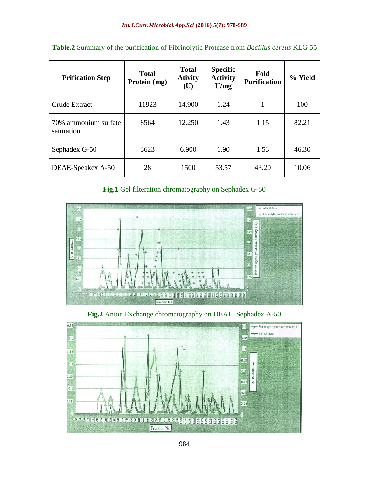| <b>Prification Step</b>            | <b>Total</b><br>Protein (mg) | <b>Total</b><br><b>Ativity</b><br>(U) | <b>Specific</b><br><b>Activity</b><br>U/mg | Fold<br><b>Purification</b> | % Yield |
|------------------------------------|------------------------------|---------------------------------------|--------------------------------------------|-----------------------------|---------|
| Crude Extract                      | 11923                        | 14.900                                | 1.24                                       |                             | 100     |
| 70% ammonium sulfate<br>saturation | 8564                         | 12.250                                | 1.43                                       | 1.15                        | 82.21   |
| Sephadex G-50                      | 3623                         | 6.900                                 | 1.90                                       | 1.53                        | 46.30   |
| DEAE-Speakex A-50                  | 28                           | 1500                                  | 53.57                                      | 43.20                       | 10.06   |

| <b>Table.2</b> Summary of the purification of Fibrinolytic Protease from <i>Bacillus cereus</i> KLG 55 |  |  |  |  |
|--------------------------------------------------------------------------------------------------------|--|--|--|--|
|                                                                                                        |  |  |  |  |

**Fig.1** Gel filteration chromatography on Sephadex G-50



**Fig.2** Anion Exchange chromatography on DEAE Sephadex A-50

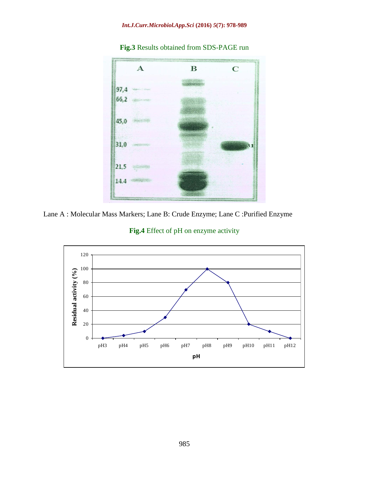#### *Int.J.Curr.Microbiol.App.Sci* **(2016)** *5***(7): 978-989**



**Fig.3** Results obtained from SDS-PAGE run



**Fig.4** Effect of pH on enzyme activity

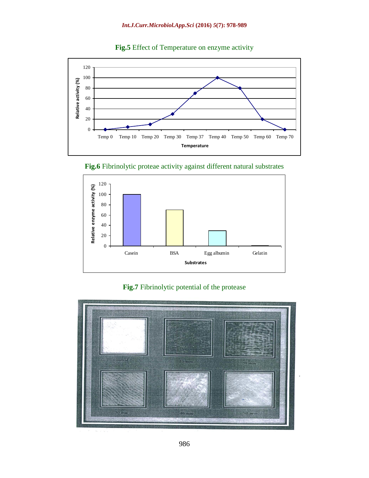

**Fig.5** Effect of Temperature on enzyme activity





**Fig.7** Fibrinolytic potential of the protease

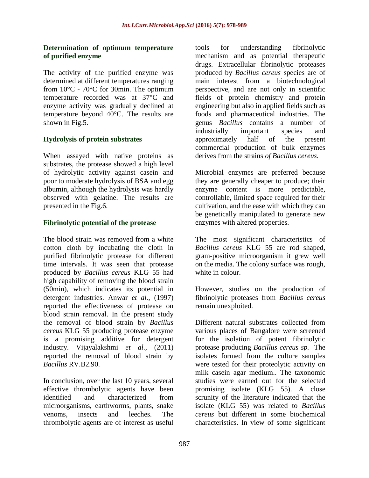#### **Determination of optimum temperature of purified enzyme**

The activity of the purified enzyme was determined at different temperatures ranging from 10°C - 70°C for 30min. The optimum temperature recorded was at 37°C and enzyme activity was gradually declined at temperature beyond 40°C. The results are shown in Fig.5.

## **Hydrolysis of protein substrates**

When assayed with native proteins as substrates, the protease showed a high level of hydrolytic activity against casein and poor to moderate hydrolysis of BSA and egg albumin, although the hydrolysis was hardly observed with gelatine. The results are presented in the Fig.6.

## **Fibrinolytic potential of the protease**

The blood strain was removed from a white cotton cloth by incubating the cloth in purified fibrinolytic protease for different time intervals. It was seen that protease produced by *Bacillus cereus* KLG 55 had high capability of removing the blood strain (50min), which indicates its potential in detergent industries. Anwar *et al.,* (1997) reported the effectiveness of protease on blood strain removal. In the present study the removal of blood strain by *Bacillus cereus* KLG 55 producing protease enzyme is a promising additive for detergent industry. Vijayalakshmi *et al.,* (2011) reported the removal of blood strain by *Bacillus* RV.B2.90.

In conclusion, over the last 10 years, several effective thrombolytic agents have been identified and characterized from microorganisms, earthworms, plants, snake venoms, insects and leeches. The thrombolytic agents are of interest as useful

tools for understanding fibrinolytic mechanism and as potential therapeutic drugs. Extracellular fibrinolytic proteases produced by *Bacillus cereus* species are of main interest from a biotechnological perspective, and are not only in scientific fields of protein chemistry and protein engineering but also in applied fields such as foods and pharmaceutical industries. The genus *Bacillus* contains a number of industrially important species and approximately half of the present commercial production of bulk enzymes derives from the strains *of Bacillus cereus.*

Microbial enzymes are preferred because they are generally cheaper to produce; their enzyme content is more predictable, controllable, limited space required for their cultivation, and the ease with which they can be genetically manipulated to generate new enzymes with altered properties.

The most significant characteristics of *Bacillus cereus* KLG 55 are rod shaped, gram-positive microorganism it grew well on the media. The colony surface was rough, white in colour.

However, studies on the production of fibrinolytic proteases from *Bacillus cereus*  remain unexploited.

Different natural substrates collected from various places of Bangalore were screened for the isolation of potent fibrinolytic protease producing *Bacillus cereus sp.* The isolates formed from the culture samples were tested for their proteolytic activity on milk casein agar medium.. The taxonomic studies were earned out for the selected promising isolate (KLG 55). A close scrunity of the literature indicated that the isolate (KLG 55) was related to *Bacillus cereus* but different in some biochemical characteristics. In view of some significant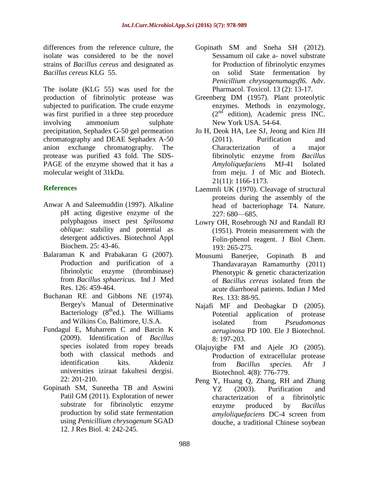differences from the reference culture, the isolate was considered to be the novel strains of *Bacillus cereus* and designated as *Bacillus cereus* KLG 55.

The isolate (KLG 55) was used for the production of fibrinolytic protease was subjected to purification. The crude enzyme was first purified in a three step procedure involving ammonium sulphate precipitation, Sephadex G-50 gel permeation chromatography and DEAE Sephadex A-50 anion exchange chromatography. The protease was purified 43 fold. The SDS-PAGE of the enzyme showed that it has a molecular weight of 31kDa.

#### **References**

- Anwar A and Saleemuddin (1997). Alkaline pH acting digestive enzyme of the polyphagous insect pest *Spilosoma oblique:* stability and potential as detergent addictives. Biotechnol Appl Biochem. 25: 43-46.
- Balaraman K and Prabakaran G (2007). Production and purification of a fibrinolytic enzyme (thrombinase) from *Bacillus sphaericus.* Ind J Med Res. 126: 459-464.
- Buchanan RE and Gibbons NE (1974). Bergey's Manual of Determinative Bacteriology  $(8<sup>th</sup>ed.)$ . The Williams and Wilkins Co, Baltimore, U.S.A.
- Fundagul E, Muharrem C and Barcin K (2009). Identification of *Bacillus*  species isolated from ropey breads both with classical methods and identification kits. Akdeniz universities iziraat fakultesi dergisi. 22: 201-210.
- Gopinath SM, Suneetha TB and Aswini Patil GM (2011). Exploration of newer substrate for fibrinolytic enzyme production by solid state fermentation using *Penicillium chrysogenum* SGAD 12. J Res Biol. 4: 242-245.
- Gopinath SM and Sneha SH (2012). Sessamum oil cake a- novel substrate for Production of fibrinolytic enzymes on solid State fermentation by *Penicillium chrysogenumagsfl6.* Adv. Pharmacol. Toxicol. 13 (2): 13-17.
- Greenberg DM (1957). Plant proteolytic enzymes. Methods in enzymology,  $(2<sup>nd</sup>$  edition), Academic press INC. New York USA. 54-64.
- Jo H, Deok HA, Lee SJ, Jeong and Kirn JH (2011). Purification and Characterization of a major fibrinolytic enzyme from *Bacillus Amyloliquefaciens* MJ-41 Isolated from meju. J of Mic and Biotech. 21(11): 1166-1173.
- Laemmli UK (1970). Cleavage of structural proteins during the assembly of the head of bacteriophage T4. Nature. 227: 680—685.
- Lowry OH, Rosebrough NJ and Randall RJ (1951). Protein measurement with the Folin-phenol reagent. J Biol Chem. 193: 265-275.
- Mousumi Banerjee, Gopinath B and Thandavarayan Ramamurthy (2011) Phenotypic & genetic characterization of *Bacillus cereus* isolated from the acute diarrhoeal patients. Indian J Med Res. 133: 88-95.
- Najafi MF and Deobagkar D (2005). Potential application of protease isolated from *Pseudomonas aeruginosa* PD 100. Ele J Biotechnol. 8: 197-203.
- Olajuyigbe FM and Ajele JO (2005). Production of extracellular protease from *Bacillus species.* Afr J Biotechnol. 4(8): 776-779.
- Peng Y, Huang Q, Zhang, RH and Zhang YZ (2003). Purification and characterization of a fibrinolytic enzyme produced by *Bacillus amyloliquefaciens* DC-4 screen from douche, a traditional Chinese soybean